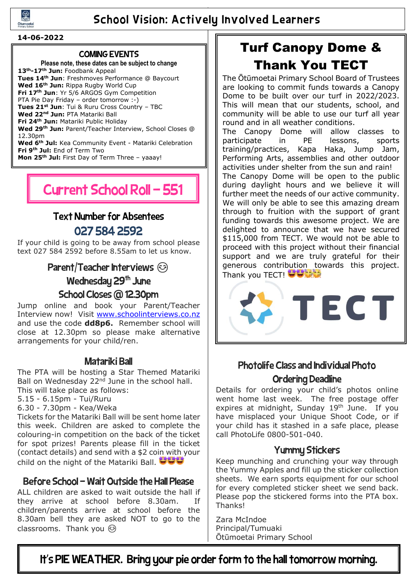

## School Vision: Actively Involved Learners

#### **14-06-2022**

#### COMING EVENTS

**Please note, these dates can be subject to change 13th-17th Jun:** Foodbank Appeal **Tues 14th Jun**: Freshmoves Performance @ Baycourt **Wed 16th Jun:** Rippa Rugby World Cup **Fri 17th Jun**: Yr 5/6 ARGOS Gym Competition PTA Pie Day Friday – order tomorrow :-) **Tues 21st Jun**: Tui & Ruru Cross Country – TBC **Wed 22nd Jun:** PTA Matariki Ball **Fri 24th Jun:** Matariki Public Holiday **Wed 29th Jun:** Parent/Teacher Interview, School Closes @ 12.30pm **Wed 6th Jul:** Kea Community Event - Matariki Celebration **Fri 9th Jul:** End of Term Two **Mon 25th Jul:** First Day of Term Three – yaaay!

# Current School Roll - 551

## Text Number for Absentees

## 027 584 2592

If your child is going to be away from school please text 027 584 2592 before 8.55am to let us know.

## Parent/Teacher Interviews  $\odot$

Wednesday 29<sup>th</sup> June

### School Closes @ 12.30pm

Jump online and book your Parent/Teacher Interview now! Visit [www.schoolinterviews.co.nz](http://www.schoolinterviews.co.nz/) and use the code **dd8p6.** Remember school will close at 12.30pm so please make alternative arrangements for your child/ren.

#### Matariki Ball

The PTA will be hosting a Star Themed Matariki Ball on Wednesday  $22<sup>nd</sup>$  June in the school hall. This will take place as follows:

5.15 - 6.15pm - Tui/Ruru

6.30 - 7.30pm - Kea/Weka

Tickets for the Matariki Ball will be sent home later this week. Children are asked to complete the colouring-in competition on the back of the ticket for spot prizes! Parents please fill in the ticket (contact details) and send with a \$2 coin with your child on the night of the Matariki Ball.  $\bigcirc \bigcirc \bigcirc$ 

### Before School – Wait Outside the Hall Please

ALL children are asked to wait outside the hall if they arrive at school before 8.30am. If children/parents arrive at school before the 8.30am bell they are asked NOT to go to the classrooms. Thank you  $\odot$ 

# Turf Canopy Dome & Thank You TECT

The Ōtūmoetai Primary School Board of Trustees are looking to commit funds towards a Canopy Dome to be built over our turf in 2022/2023. This will mean that our students, school, and community will be able to use our turf all year round and in all weather conditions.

The Canopy Dome will allow classes to participate in PE lessons, sports training/practices, Kapa Haka, Jump Jam, Performing Arts, assemblies and other outdoor activities under shelter from the sun and rain! The Canopy Dome will be open to the public during daylight hours and we believe it will further meet the needs of our active community. We will only be able to see this amazing dream through to fruition with the support of grant funding towards this awesome project. We are delighted to announce that we have secured \$115,000 from TECT. We would not be able to proceed with this project without their financial support and we are truly grateful for their generous contribution towards this project. Thank you TECT! **Thank** 



## Photolife Class and Individual Photo Ordering Deadline

Details for ordering your child's photos online went home last week. The free postage offer expires at midnight, Sunday 19<sup>th</sup> June. If you have misplaced your Unique Shoot Code, or if your child has it stashed in a safe place, please call PhotoLife 0800-501-040.

### Yummy Stickers

Keep munching and crunching your way through the Yummy Apples and fill up the sticker collection sheets. We earn sports equipment for our school for every completed sticker sheet we send back. Please pop the stickered forms into the PTA box. Thanks!

Zara McIndoe Principal/Tumuaki Ōtūmoetai Primary School

It's PIE WEATHER. Bring your pie order form to the hall tomorrow morning.